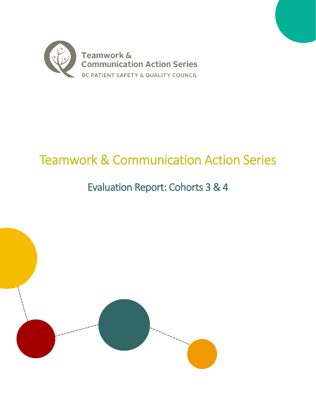

# Teamwork & Communication Action Series

# Evaluation Report: Cohorts 3 & 4

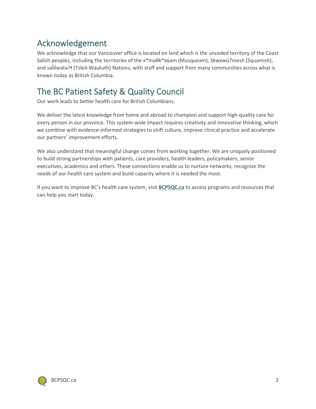# <span id="page-1-0"></span>Acknowledgement

We acknowledge that our Vancouver office is located on land which is the unceded territory of the Coast Salish peoples, including the territories of the xʷməθkʷəy̓əm (Musqueam), Skwxwú7mesh (Squamish), and səlilwəta?ł (Tsleil-Waututh) Nations, with staff and support from many communities across what is known today as British Columbia.

# The BC Patient Safety & Quality Council

Our work leads to better health care for British Columbians.

We deliver the latest knowledge from home and abroad to champion and support high-quality care for every person in our province. This system-wide impact requires creativity and innovative thinking, which we combine with evidence-informed strategies to shift culture, improve clinical practice and accelerate our partners' improvement efforts.

We also understand that meaningful change comes from working together. We are uniquely positioned to build strong partnerships with patients, care providers, health leaders, policymakers, senior executives, academics and others. These connections enable us to nurture networks, recognize the needs of our health care system and build capacity where it is needed the most.

If you want to improve BC's health care system, visit **[BCPSQC.ca](http://www.bcpsqc.ca/)** to access programs and resources that can help you start today.

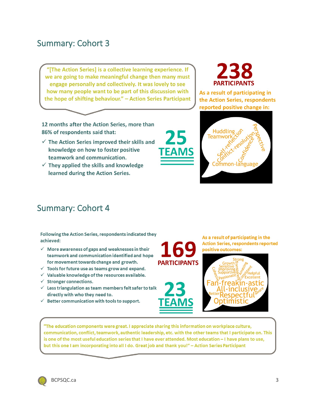# <span id="page-2-0"></span>Summary: Cohort 3

"[The Action Series] is a collective learning experience. If we are going to make meaningful change then many must engage personally and collectively. It was lovely to see how many people want to be part of this discussion with the hope of shifting behaviour." - Action Series Participant

12 months after the Action Series, more than 86% of respondents said that:

- $\checkmark$  The Action Series improved their skills and knowledge on how to foster positive teamwork and communication.
- $\checkmark$  They applied the skills and knowledge learned during the Action Series.



As a result of participating in the Action Series, respondents reported positive change in:



# <span id="page-2-1"></span>Summary: Cohort 4

Following the Action Series, respondents indicated they achieved:

- $\checkmark$  More awareness of gaps and weaknesses in their teamwork and communication identified and hope for movement towards change and growth.
- $\checkmark$  Tools for future use as teams grow and expand.
- $\checkmark$  Valuable knowledge of the resources available.
- $\checkmark$  Stronger connections.
- $\checkmark$  Less triangulation as team members felt safer to talk directly with who they need to.
- $\checkmark$  Better communication with tools to support.

**PARTICIPANTS** 

As a result of participating in the **Action Series, respondents reported** positive outcomes:



"The education components were great. I appreciate sharing this information on workplace culture, communication, conflict, teamwork, authentic leadership, etc. with the other teams that I participate on. This is one of the most useful education series that I have ever attended. Most education - I have plans to use, but this one I am incorporating into all I do. Great job and thank you!" - Action Series Participant

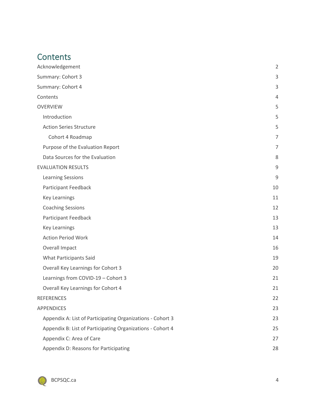# <span id="page-3-0"></span>**Contents**

| Acknowledgement                                            | $\overline{2}$ |
|------------------------------------------------------------|----------------|
| Summary: Cohort 3                                          | 3              |
| Summary: Cohort 4                                          | 3              |
| Contents                                                   | 4              |
| <b>OVERVIEW</b>                                            | 5              |
| Introduction                                               | 5              |
| <b>Action Series Structure</b>                             | 5              |
| Cohort 4 Roadmap                                           | 7              |
| Purpose of the Evaluation Report                           | $\overline{7}$ |
| Data Sources for the Evaluation                            | 8              |
| <b>EVALUATION RESULTS</b>                                  | 9              |
| <b>Learning Sessions</b>                                   | 9              |
| Participant Feedback                                       | 10             |
| <b>Key Learnings</b>                                       | 11             |
| <b>Coaching Sessions</b>                                   | 12             |
| Participant Feedback                                       | 13             |
| <b>Key Learnings</b>                                       | 13             |
| <b>Action Period Work</b>                                  | 14             |
| Overall Impact                                             | 16             |
| <b>What Participants Said</b>                              | 19             |
| Overall Key Learnings for Cohort 3                         | 20             |
| Learnings from COVID-19 - Cohort 3                         | 21             |
| Overall Key Learnings for Cohort 4                         | 21             |
| <b>REFERENCES</b>                                          | 22             |
| <b>APPENDICES</b>                                          | 23             |
| Appendix A: List of Participating Organizations - Cohort 3 | 23             |
| Appendix B: List of Participating Organizations - Cohort 4 | 25             |
| Appendix C: Area of Care                                   | 27             |
| Appendix D: Reasons for Participating                      | 28             |

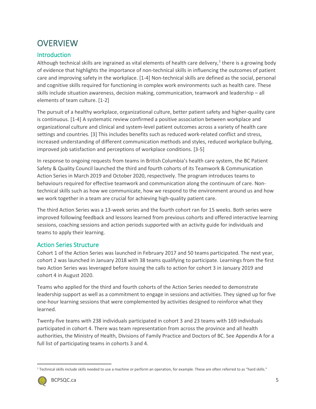# <span id="page-4-0"></span>**OVERVIEW**

### <span id="page-4-1"></span>Introduction

Although technical skills are ingrained as vital elements of health care delivery, $1$  there is a growing body of evidence that highlights the importance of non-technical skills in influencing the outcomes of patient care and improving safety in the workplace. [1-4] Non-technical skills are defined as the social, personal and cognitive skills required for functioning in complex work environments such as health care. These skills include situation awareness, decision making, communication, teamwork and leadership – all elements of team culture. [1-2]

The pursuit of a healthy workplace, organizational culture, better patient safety and higher-quality care is continuous. [1-4] A systematic review confirmed a positive association between workplace and organizational culture and clinical and system-level patient outcomes across a variety of health care settings and countries. [3] This includes benefits such as reduced work-related conflict and stress, increased understanding of different communication methods and styles, reduced workplace bullying, improved job satisfaction and perceptions of workplace conditions. [3-5]

In response to ongoing requests from teams in British Columbia's health care system, the BC Patient Safety & Quality Council launched the third and fourth cohorts of its Teamwork & Communication Action Series in March 2019 and October 2020, respectively. The program introduces teams to behaviours required for effective teamwork and communication along the continuum of care. Nontechnical skills such as how we communicate, how we respond to the environment around us and how we work together in a team are crucial for achieving high-quality patient care.

The third Action Series was a 13-week series and the fourth cohort ran for 15 weeks. Both series were improved following feedback and lessons learned from previous cohorts and offered interactive learning sessions, coaching sessions and action periods supported with an activity guide for individuals and teams to apply their learning.

### <span id="page-4-2"></span>Action Series Structure

Cohort 1 of the Action Series was launched in February 2017 and 50 teams participated. The next year, cohort 2 was launched in January 2018 with 38 teams qualifying to participate. Learnings from the first two Action Series was leveraged before issuing the calls to action for cohort 3 in January 2019 and cohort 4 in August 2020.

Teams who applied for the third and fourth cohorts of the Action Series needed to demonstrate leadership support as well as a commitment to engage in sessions and activities. They signed up for five one-hour learning sessions that were complemented by activities designed to reinforce what they learned.

Twenty-five teams with 238 individuals participated in cohort 3 and 23 teams with 169 individuals participated in cohort 4. There was team representation from across the province and all health authorities, the Ministry of Health, Divisions of Family Practice and Doctors of BC. See Appendix A for a full list of participating teams in cohorts 3 and 4.

<sup>1</sup> Technical skills include skills needed to use a machine or perform an operation, for example. These are often referred to as "hard skills."

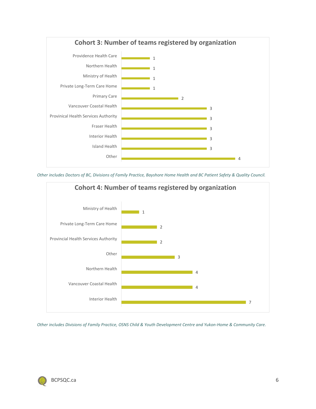

*Other includes Doctors of BC, Divisions of Family Practice, Bayshore Home Health and BC Patient Safety & Quality Council.*



*Other includes Divisions of Family Practice, OSNS Child & Youth Development Centre and Yukon-Home & Community Care.*

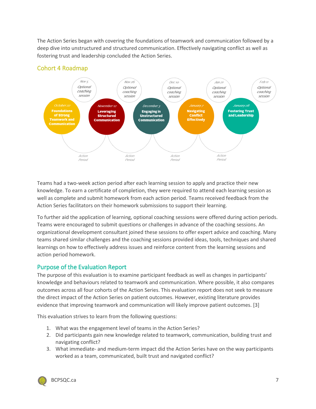The Action Series began with covering the foundations of teamwork and communication followed by a deep dive into unstructured and structured communication. Effectively navigating conflict as well as fostering trust and leadership concluded the Action Series.



### <span id="page-6-0"></span>Cohort 4 Roadmap

Teams had a two-week action period after each learning session to apply and practice their new knowledge. To earn a certificate of completion, they were required to attend each learning session as well as complete and submit homework from each action period. Teams received feedback from the Action Series facilitators on their homework submissions to support their learning.

To further aid the application of learning, optional coaching sessions were offered during action periods. Teams were encouraged to submit questions or challenges in advance of the coaching sessions. An organizational development consultant joined these sessions to offer expert advice and coaching. Many teams shared similar challenges and the coaching sessions provided ideas, tools, techniques and shared learnings on how to effectively address issues and reinforce content from the learning sessions and action period homework.

### <span id="page-6-1"></span>Purpose of the Evaluation Report

The purpose of this evaluation is to examine participant feedback as well as changes in participants' knowledge and behaviours related to teamwork and communication. Where possible, it also compares outcomes across all four cohorts of the Action Series. This evaluation report does not seek to measure the direct impact of the Action Series on patient outcomes. However, existing literature provides evidence that improving teamwork and communication will likely improve patient outcomes. [3]

This evaluation strives to learn from the following questions:

- 1. What was the engagement level of teams in the Action Series?
- 2. Did participants gain new knowledge related to teamwork, communication, building trust and navigating conflict?
- 3. What immediate- and medium-term impact did the Action Series have on the way participants worked as a team, communicated, built trust and navigated conflict?

<span id="page-6-2"></span>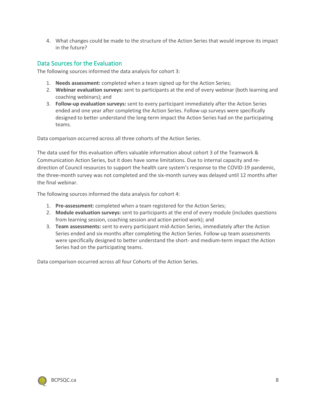4. What changes could be made to the structure of the Action Series that would improve its impact in the future?

#### <span id="page-7-0"></span>Data Sources for the Evaluation

The following sources informed the data analysis for cohort 3:

- 1. **Needs assessment:** completed when a team signed up for the Action Series;
- 2. **Webinar evaluation surveys:** sent to participants at the end of every webinar (both learning and coaching webinars); and
- 3. **Follow-up evaluation surveys:** sent to every participant immediately after the Action Series ended and one year after completing the Action Series. Follow-up surveys were specifically designed to better understand the long-term impact the Action Series had on the participating teams.

Data comparison occurred across all three cohorts of the Action Series.

The data used for this evaluation offers valuable information about cohort 3 of the Teamwork & Communication Action Series, but it does have some limitations. Due to internal capacity and redirection of Council resources to support the health care system's response to the COVID-19 pandemic, the three-month survey was not completed and the six-month survey was delayed until 12 months after the final webinar.

The following sources informed the data analysis for cohort 4:

- 1. **Pre-assessment:** completed when a team registered for the Action Series;
- 2. **Module evaluation surveys:** sent to participants at the end of every module (includes questions from learning session, coaching session and action period work); and
- 3. **Team assessments:** sent to every participant mid-Action Series, immediately after the Action Series ended and six months after completing the Action Series. Follow-up team assessments were specifically designed to better understand the short- and medium-term impact the Action Series had on the participating teams.

Data comparison occurred across all four Cohorts of the Action Series.

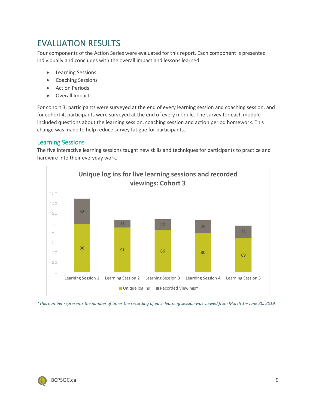# <span id="page-8-0"></span>EVALUATION RESULTS

Four components of the Action Series were evaluated for this report. Each component is presented individually and concludes with the overall impact and lessons learned.

- Learning Sessions
- Coaching Sessions
- Action Periods
- Overall Impact

For cohort 3, participants were surveyed at the end of every learning session and coaching session, and for cohort 4, participants were surveyed at the end of every module. The survey for each module included questions about the learning session, coaching session and action period homework. This change was made to help reduce survey fatigue for participants.

#### <span id="page-8-1"></span>Learning Sessions

The five interactive learning sessions taught new skills and techniques for participants to practice and hardwire into their everyday work.



*\*This number represents the number of times the recording of each learning session was viewed from March 1 – June 30, 2019.* 

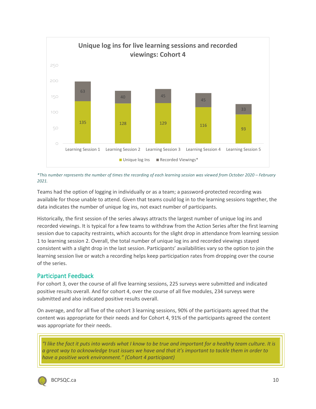

*\*This number represents the number of times the recording of each learning session was viewed from October 2020 – February 2021.* 

Teams had the option of logging in individually or as a team; a password-protected recording was available for those unable to attend. Given that teams could log in to the learning sessions together, the data indicates the number of unique log ins, not exact number of participants.

Historically, the first session of the series always attracts the largest number of unique log ins and recorded viewings. It is typical for a few teams to withdraw from the Action Series after the first learning session due to capacity restraints, which accounts for the slight drop in attendance from learning session 1 to learning session 2. Overall, the total number of unique log ins and recorded viewings stayed consistent with a slight drop in the last session. Participants' availabilities vary so the option to join the learning session live or watch a recording helps keep participation rates from dropping over the course of the series.

### <span id="page-9-0"></span>Participant Feedback

For cohort 3, over the course of all five learning sessions, 225 surveys were submitted and indicated positive results overall. And for cohort 4, over the course of all five modules, 234 surveys were submitted and also indicated positive results overall.

On average, and for all five of the cohort 3 learning sessions, 90% of the participants agreed that the content was appropriate for their needs and for Cohort 4, 91% of the participants agreed the content was appropriate for their needs.

*"I like the fact it puts into words what I know to be true and important for a healthy team culture. It is a great way to acknowledge trust issues we have and that it's important to tackle them in order to have a positive work environment." (Cohort 4 participant)*

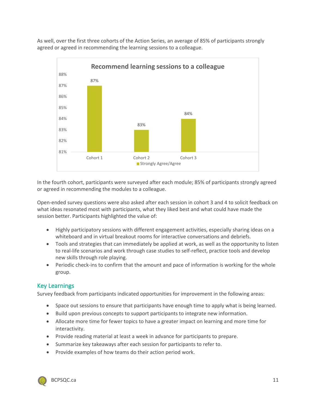As well, over the first three cohorts of the Action Series, an average of 85% of participants strongly agreed or agreed in recommending the learning sessions to a colleague.



In the fourth cohort, participants were surveyed after each module; 85% of participants strongly agreed or agreed in recommending the modules to a colleague.

Open-ended survey questions were also asked after each session in cohort 3 and 4 to solicit feedback on what ideas resonated most with participants, what they liked best and what could have made the session better. Participants highlighted the value of:

- Highly participatory sessions with different engagement activities, especially sharing ideas on a whiteboard and in virtual breakout rooms for interactive conversations and debriefs.
- Tools and strategies that can immediately be applied at work, as well as the opportunity to listen to real-life scenarios and work through case studies to self-reflect, practice tools and develop new skills through role playing.
- Periodic check-ins to confirm that the amount and pace of information is working for the whole group.

#### <span id="page-10-0"></span>Key Learnings

Survey feedback from participants indicated opportunities for improvement in the following areas:

- Space out sessions to ensure that participants have enough time to apply what is being learned.
- Build upon previous concepts to support participants to integrate new information.
- Allocate more time for fewer topics to have a greater impact on learning and more time for interactivity.
- Provide reading material at least a week in advance for participants to prepare.
- Summarize key takeaways after each session for participants to refer to.
- Provide examples of how teams do their action period work.

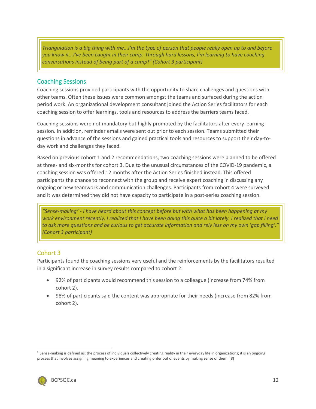*Triangulation is a big thing with me...I'm the type of person that people really open up to and before you know it...I've been caught in their camp. Through hard lessons, I'm learning to have coaching conversations instead of being part of a camp!" (Cohort 3 participant)*

#### <span id="page-11-0"></span>Coaching Sessions

Coaching sessions provided participants with the opportunity to share challenges and questions with other teams. Often these issues were common amongst the teams and surfaced during the action period work. An organizational development consultant joined the Action Series facilitators for each coaching session to offer learnings, tools and resources to address the barriers teams faced.

Coaching sessions were not mandatory but highly promoted by the facilitators after every learning session. In addition, reminder emails were sent out prior to each session. Teams submitted their questions in advance of the sessions and gained practical tools and resources to support their day-today work and challenges they faced.

Based on previous cohort 1 and 2 recommendations, two coaching sessions were planned to be offered at three- and six-months for cohort 3. Due to the unusual circumstances of the COVID-19 pandemic, a coaching session was offered 12 months after the Action Series finished instead. This offered participants the chance to reconnect with the group and receive expert coaching in discussing any ongoing or new teamwork and communication challenges. Participants from cohort 4 were surveyed and it was determined they did not have capacity to participate in a post-series coaching session.

*"Sense-making[2](#page-13-1) - I have heard about this concept before but with what has been happening at my work environment recently, I realized that I have been doing this quite a bit lately. I realized that I need to ask more questions and be curious to get accurate information and rely less on my own 'gap filling'." (Cohort 3 participant)*

### Cohort 3

Participants found the coaching sessions very useful and the reinforcements by the facilitators resulted in a significant increase in survey results compared to cohort 2:

- 92% of participants would recommend this session to a colleague (increase from 74% from cohort 2).
- 98% of participants said the content was appropriate for their needs (increase from 82% from cohort 2).

<sup>&</sup>lt;sup>2</sup> Sense-making is defined as: the process of individuals collectively creating reality in their everyday life in organizations; it is an ongoing process that involves assigning meaning to experiences and creating order out of events by making sense of them. [8]

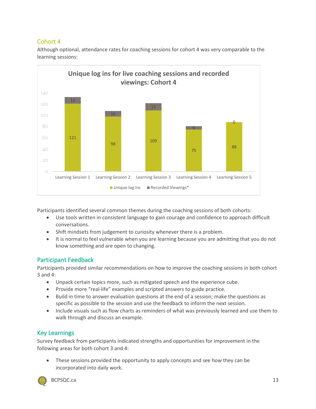## Cohort 4



Although optional, attendance rates for coaching sessions for cohort 4 was very comparable to the learning sessions:

Participants identified several common themes during the coaching sessions of both cohorts:

- Use tools written in consistent language to gain courage and confidence to approach difficult conversations.
- Shift mindsets from judgement to curiosity whenever there is a problem.
- It is normal to feel vulnerable when you are learning because you are admitting that you do not know something and are open to changing.

### <span id="page-12-0"></span>Participant Feedback

Participants provided similar recommendations on how to improve the coaching sessions in both cohort 3 and 4:

- Unpack certain topics more, such as mitigated speech and the experience cube.
- Provide more "real-life" examples and scripted answers to guide practice.
- Build in time to answer evaluation questions at the end of a session; make the questions as specific as possible to the session and use the feedback to inform the next session.
- Include visuals such as flow charts as reminders of what was previously learned and use them to walk through and discuss an example.

### <span id="page-12-1"></span>Key Learnings

Survey feedback from participants indicated strengths and opportunities for improvement in the following areas for both cohort 3 and 4:

These sessions provided the opportunity to apply concepts and see how they can be incorporated into daily work.

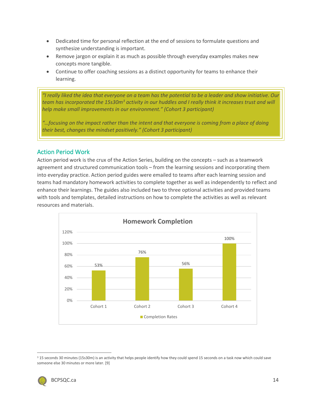- Dedicated time for personal reflection at the end of sessions to formulate questions and synthesize understanding is important.
- Remove jargon or explain it as much as possible through everyday examples makes new concepts more tangible.
- Continue to offer coaching sessions as a distinct opportunity for teams to enhance their learning.

*"I really liked the idea that everyone on a team has the potential to be a leader and show initiative. Our team has incorporated the 15s30m[3](#page-15-1) activity in our huddles and I really think it increases trust and will help make small improvements in our environment." (Cohort 3 participant)*

*"…focusing on the impact rather than the intent and that everyone is coming from a place of doing their best, changes the mindset positively." (Cohort 3 participant)*

#### <span id="page-13-0"></span>Action Period Work

Action period work is the crux of the Action Series, building on the concepts – such as a teamwork agreement and structured communication tools – from the learning sessions and incorporating them into everyday practice. Action period guides were emailed to teams after each learning session and teams had mandatory homework activities to complete together as well as independently to reflect and enhance their learnings. The guides also included two to three optional activities and provided teams with tools and templates, detailed instructions on how to complete the activities as well as relevant resources and materials.



<span id="page-13-1"></span><sup>&</sup>lt;sup>3</sup> 15 seconds 30 minutes (15s30m) is an activity that helps people identify how they could spend 15 seconds on a task now which could save someone else 30 minutes or more later. [9]

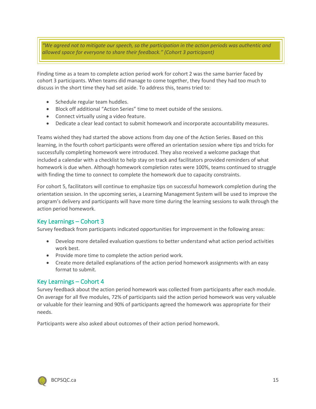*"We agreed not to mitigate our speech, so the participation in the action periods was authentic and allowed space for everyone to share their feedback." (Cohort 3 participant)*

Finding time as a team to complete action period work for cohort 2 was the same barrier faced by cohort 3 participants. When teams did manage to come together, they found they had too much to discuss in the short time they had set aside. To address this, teams tried to:

- Schedule regular team huddles.
- Block off additional "Action Series" time to meet outside of the sessions.
- Connect virtually using a video feature.
- Dedicate a clear lead contact to submit homework and incorporate accountability measures.

Teams wished they had started the above actions from day one of the Action Series. Based on this learning, in the fourth cohort participants were offered an orientation session where tips and tricks for successfully completing homework were introduced. They also received a welcome package that included a calendar with a checklist to help stay on track and facilitators provided reminders of what homework is due when. Although homework completion rates were 100%, teams continued to struggle with finding the time to connect to complete the homework due to capacity constraints.

For cohort 5, facilitators will continue to emphasize tips on successful homework completion during the orientation session. In the upcoming series, a Learning Management System will be used to improve the program's delivery and participants will have more time during the learning sessions to walk through the action period homework.

#### Key Learnings – Cohort 3

Survey feedback from participants indicated opportunities for improvement in the following areas:

- Develop more detailed evaluation questions to better understand what action period activities work best.
- Provide more time to complete the action period work.
- Create more detailed explanations of the action period homework assignments with an easy format to submit.

#### Key Learnings – Cohort 4

Survey feedback about the action period homework was collected from participants after each module. On average for all five modules, 72% of participants said the action period homework was very valuable or valuable for their learning and 90% of participants agreed the homework was appropriate for their needs.

Participants were also asked about outcomes of their action period homework.

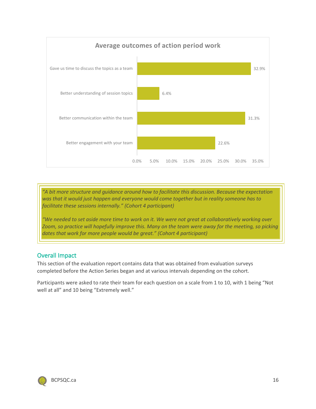

*"A bit more structure and guidance around how to facilitate this discussion. Because the expectation was that it would just happen and everyone would come together but in reality someone has to facilitate these sessions internally." (Cohort 4 participant)*

*"We needed to set aside more time to work on it. We were not great at collaboratively working over Zoom, so practice will hopefully improve this. Many on the team were away for the meeting, so picking dates that work for more people would be great." (Cohort 4 participant)*

#### <span id="page-15-0"></span>Overall Impact

This section of the evaluation report contains data that was obtained from evaluation surveys completed before the Action Series began and at various intervals depending on the cohort.

Participants were asked to rate their team for each question on a scale from 1 to 10, with 1 being "Not well at all" and 10 being "Extremely well."

<span id="page-15-1"></span>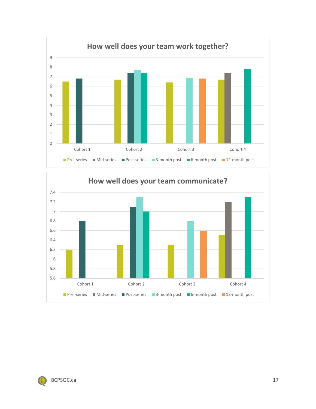



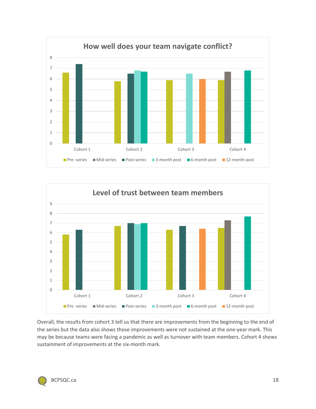



Overall, the results from cohort 3 tell us that there are improvements from the beginning to the end of the series but the data also shows those improvements were not sustained at the one-year mark. This may be because teams were facing a pandemic as well as turnover with team members. Cohort 4 shows sustainment of improvements at the six-month mark.

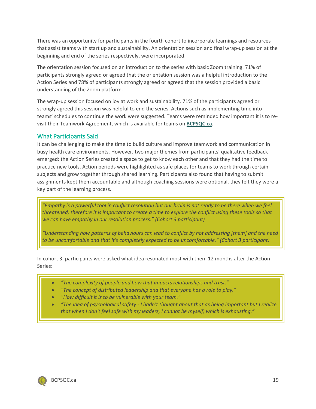There was an opportunity for participants in the fourth cohort to incorporate learnings and resources that assist teams with start up and sustainability. An orientation session and final wrap-up session at the beginning and end of the series respectively, were incorporated.

The orientation session focused on an introduction to the series with basic Zoom training. 71% of participants strongly agreed or agreed that the orientation session was a helpful introduction to the Action Series and 78% of participants strongly agreed or agreed that the session provided a basic understanding of the Zoom platform.

The wrap-up session focused on joy at work and sustainability. 71% of the participants agreed or strongly agreed this session was helpful to end the series. Actions such as implementing time into teams' schedules to continue the work were suggested. Teams were reminded how important it is to revisit their Teamwork Agreement, which is available for teams on **[BCPSQC.ca](https://bcpsqc.ca/)**.

#### <span id="page-18-0"></span>What Participants Said

It can be challenging to make the time to build culture and improve teamwork and communication in busy health care environments. However, two major themes from participants' qualitative feedback emerged: the Action Series created a space to get to know each other and that they had the time to practice new tools. Action periods were highlighted as safe places for teams to work through certain subjects and grow together through shared learning. Participants also found that having to submit assignments kept them accountable and although coaching sessions were optional, they felt they were a key part of the learning process.

*"Empathy is a powerful tool in conflict resolution but our brain is not ready to be there when we feel threatened, therefore it is important to create a time to explore the conflict using these tools so that we can have empathy in our resolution process." (Cohort 3 participant)*

*"Understanding how patterns of behaviours can lead to conflict by not addressing [them] and the need to be uncomfortable and that it's completely expected to be uncomfortable." (Cohort 3 participant)*

In cohort 3, participants were asked what idea resonated most with them 12 months after the Action Series:

- *"The complexity of people and how that impacts relationships and trust."*
- *"The concept of distributed leadership and that everyone has a role to play."*
- *"How difficult it is to be vulnerable with your team."*
- *"The idea of psychological safety - I hadn't thought about that as being important but I realize that when I don't feel safe with my leaders, I cannot be myself, which is exhausting."*

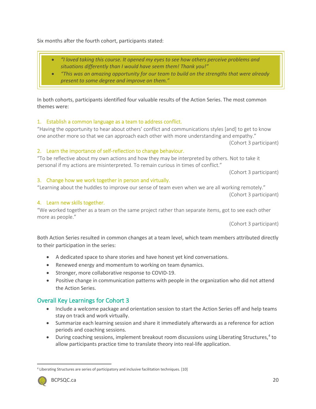<sup>4</sup> Liberating Structures are series of participatory and inclusive facilitation techniques. [10]



In both cohorts, participants identified four valuable results of the Action Series. The most common themes were:

#### 1. Establish a common language as a team to address conflict.

"Having the opportunity to hear about others' conflict and communications styles [and] to get to know one another more so that we can approach each other with more understanding and empathy."

(Cohort 3 participant)

#### 2. Learn the importance of self-reflection to change behaviour.

"To be reflective about my own actions and how they may be interpreted by others. Not to take it personal if my actions are misinterpreted. To remain curious in times of conflict."

(Cohort 3 participant)

(Cohort 3 participant)

#### 3. Change how we work together in person and virtually.

### 4. Learn new skills together.

"We worked together as a team on the same project rather than separate items, got to see each other more as people."

(Cohort 3 participant)

Both Action Series resulted in common changes at a team level, which team members attributed directly to their participation in the series:

- A dedicated space to share stories and have honest yet kind conversations.
- Renewed energy and momentum to working on team dynamics.
- Stronger, more collaborative response to COVID-19.
- Positive change in communication patterns with people in the organization who did not attend the Action Series.

### <span id="page-19-0"></span>Overall Key Learnings for Cohort 3

- Include a welcome package and orientation session to start the Action Series off and help teams stay on track and work virtually.
- Summarize each learning session and share it immediately afterwards as a reference for action periods and coaching sessions.
- During coaching sessions, implement breakout room discussions using Liberating Structures,<sup>[4](#page-21-1)</sup> to allow participants practice time to translate theory into real-life application.

"Learning about the huddles to improve our sense of team even when we are all working remotely."

Six months after the fourth cohort, participants stated:

- *"I loved taking this course. It opened my eyes to see how others perceive problems and situations differently than I would have seem them! Thank you!"*
- *"This was an amazing opportunity for our team to build on the strengths that were already present to some degree and improve on them."*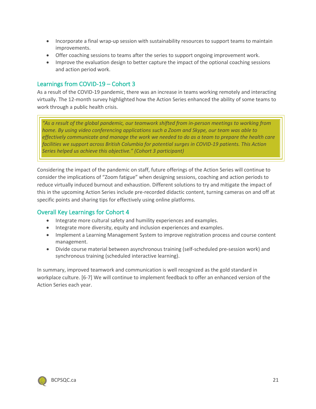- Incorporate a final wrap-up session with sustainability resources to support teams to maintain improvements.
- Offer coaching sessions to teams after the series to support ongoing improvement work.
- Improve the evaluation design to better capture the impact of the optional coaching sessions and action period work.

#### <span id="page-20-0"></span>Learnings from COVID-19 – Cohort 3

As a result of the COVID-19 pandemic, there was an increase in teams working remotely and interacting virtually. The 12-month survey highlighted how the Action Series enhanced the ability of some teams to work through a public health crisis.

*"As a result of the global pandemic, our teamwork shifted from in-person meetings to working from home. By using video conferencing applications such a Zoom and Skype, our team was able to effectively communicate and manage the work we needed to do as a team to prepare the health care facilities we support across British Columbia for potential surges in COVID-19 patients. This Action Series helped us achieve this objective." (Cohort 3 participant)*

Considering the impact of the pandemic on staff, future offerings of the Action Series will continue to consider the implications of "Zoom fatigue" when designing sessions, coaching and action periods to reduce virtually induced burnout and exhaustion. Different solutions to try and mitigate the impact of this in the upcoming Action Series include pre-recorded didactic content, turning cameras on and off at specific points and sharing tips for effectively using online platforms.

#### <span id="page-20-1"></span>Overall Key Learnings for Cohort 4

- Integrate more cultural safety and humility experiences and examples.
- Integrate more diversity, equity and inclusion experiences and examples.
- Implement a Learning Management System to improve registration process and course content management.
- Divide course material between asynchronous training (self-scheduled pre-session work) and synchronous training (scheduled interactive learning).

In summary, improved teamwork and communication is well recognized as the gold standard in workplace culture. [6-7] We will continue to implement feedback to offer an enhanced version of the Action Series each year.

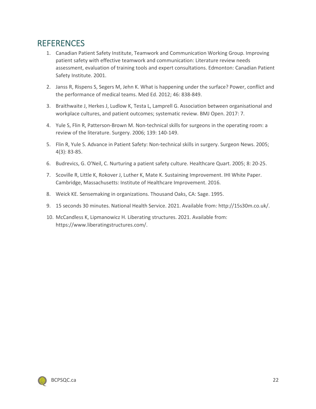# <span id="page-21-0"></span>**REFERENCES**

- 1. Canadian Patient Safety Institute, Teamwork and Communication Working Group. Improving patient safety with effective teamwork and communication: Literature review needs assessment, evaluation of training tools and expert consultations. Edmonton: Canadian Patient Safety Institute. 2001.
- 2. Janss R, Rispens S, Segers M, Jehn K. What is happening under the surface? Power, conflict and the performance of medical teams. Med Ed. 2012; 46: 838-849.
- 3. Braithwaite J, Herkes J, Ludlow K, Testa L, Lamprell G. Association between organisational and workplace cultures, and patient outcomes; systematic review. BMJ Open. 2017: 7.
- 4. Yule S, Flin R, Patterson-Brown M. Non-technical skills for surgeons in the operating room: a review of the literature. Surgery. 2006; 139: 140-149.
- 5. Flin R, Yule S. Advance in Patient Safety: Non-technical skills in surgery. Surgeon News. 2005; 4(3): 83-85.
- 6. Budrevics, G. O'Neil, C. Nurturing a patient safety culture. Healthcare Quart. 2005; 8: 20-25.
- 7. Scoville R, Little K, Rokover J, Luther K, Mate K. Sustaining Improvement. IHI White Paper. Cambridge, Massachusetts: Institute of Healthcare Improvement. 2016.
- 8. Weick KE. Sensemaking in organizations. Thousand Oaks, CA: Sage. 1995.
- 9. 15 seconds 30 minutes. National Health Service. 2021. Available from: http://15s30m.co.uk/.
- 10. McCandless K, Lipmanowicz H. Liberating structures. 2021. Available from: https://www.liberatingstructures.com/.

<span id="page-21-1"></span>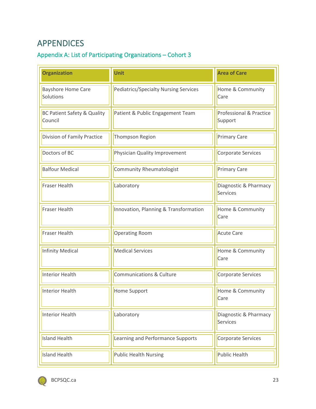# <span id="page-22-0"></span>APPENDICES

# <span id="page-22-1"></span>Appendix A: List of Participating Organizations – Cohort 3

| <b>Organization</b>                               | <b>Unit</b>                                  | <b>Area of Care</b>                      |
|---------------------------------------------------|----------------------------------------------|------------------------------------------|
| <b>Bayshore Home Care</b><br>Solutions            | <b>Pediatrics/Specialty Nursing Services</b> | Home & Community<br>Care                 |
| <b>BC Patient Safety &amp; Quality</b><br>Council | Patient & Public Engagement Team             | Professional & Practice<br>Support       |
| Division of Family Practice                       | Thompson Region                              | <b>Primary Care</b>                      |
| Doctors of BC                                     | Physician Quality Improvement                | Corporate Services                       |
| <b>Balfour Medical</b>                            | <b>Community Rheumatologist</b>              | <b>Primary Care</b>                      |
| <b>Fraser Health</b>                              | Laboratory                                   | Diagnostic & Pharmacy<br><b>Services</b> |
| <b>Fraser Health</b>                              | Innovation, Planning & Transformation        | Home & Community<br>Care                 |
| <b>Fraser Health</b>                              | <b>Operating Room</b>                        | <b>Acute Care</b>                        |
| <b>Infinity Medical</b>                           | <b>Medical Services</b>                      | Home & Community<br>Care                 |
| <b>Interior Health</b>                            | <b>Communications &amp; Culture</b>          | Corporate Services                       |
| <b>Interior Health</b>                            | Home Support                                 | Home & Community<br>Care                 |
| <b>Interior Health</b>                            | Laboratory                                   | Diagnostic & Pharmacy<br><b>Services</b> |
| <b>Island Health</b>                              | Learning and Performance Supports            | Corporate Services                       |
| <b>Island Health</b>                              | <b>Public Health Nursing</b>                 | <b>Public Health</b>                     |

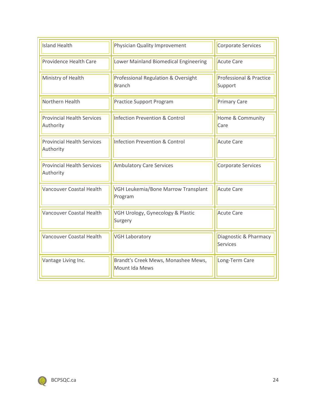| <b>Island Health</b>                           | Physician Quality Improvement                         | Corporate Services                       |  |
|------------------------------------------------|-------------------------------------------------------|------------------------------------------|--|
| Providence Health Care                         | Lower Mainland Biomedical Engineering                 | <b>Acute Care</b>                        |  |
| Ministry of Health                             | Professional Regulation & Oversight<br><b>Branch</b>  | Professional & Practice<br>Support       |  |
| Northern Health                                | <b>Practice Support Program</b>                       | <b>Primary Care</b>                      |  |
| <b>Provincial Health Services</b><br>Authority | <b>Infection Prevention &amp; Control</b>             | Home & Community<br>Care                 |  |
| <b>Provincial Health Services</b><br>Authority | <b>Infection Prevention &amp; Control</b>             | <b>Acute Care</b>                        |  |
| <b>Provincial Health Services</b><br>Authority | <b>Ambulatory Care Services</b>                       | Corporate Services                       |  |
| Vancouver Coastal Health                       | VGH Leukemia/Bone Marrow Transplant<br>Program        | <b>Acute Care</b>                        |  |
| Vancouver Coastal Health                       | VGH Urology, Gynecology & Plastic<br>Surgery          | <b>Acute Care</b>                        |  |
| <b>Vancouver Coastal Health</b>                | <b>VGH Laboratory</b>                                 | Diagnostic & Pharmacy<br><b>Services</b> |  |
| Vantage Living Inc.                            | Brandt's Creek Mews, Monashee Mews,<br>Mount Ida Mews | Long-Term Care                           |  |

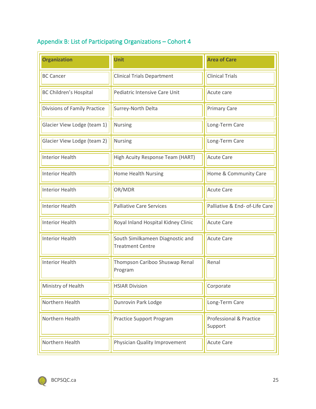# <span id="page-24-0"></span>Appendix B: List of Participating Organizations – Cohort 4

| <b>Organization</b>                 | Unit                                                        | <b>Area of Care</b>                |  |
|-------------------------------------|-------------------------------------------------------------|------------------------------------|--|
| <b>BC Cancer</b>                    | <b>Clinical Trials Department</b>                           | <b>Clinical Trials</b>             |  |
| <b>BC Children's Hospital</b>       | Pediatric Intensive Care Unit                               | Acute care                         |  |
| <b>Divisions of Family Practice</b> | Surrey-North Delta                                          | <b>Primary Care</b>                |  |
| Glacier View Lodge (team 1)         | <b>Nursing</b>                                              | Long-Term Care                     |  |
| Glacier View Lodge (team 2)         | Nursing                                                     | Long-Term Care                     |  |
| <b>Interior Health</b>              | High Acuity Response Team (HART)                            | <b>Acute Care</b>                  |  |
| <b>Interior Health</b>              | <b>Home Health Nursing</b>                                  | Home & Community Care              |  |
| <b>Interior Health</b>              | OR/MDR                                                      | <b>Acute Care</b>                  |  |
| <b>Interior Health</b>              | <b>Palliative Care Services</b>                             | Palliative & End- of-Life Care     |  |
| <b>Interior Health</b>              | Royal Inland Hospital Kidney Clinic                         | <b>Acute Care</b>                  |  |
| <b>Interior Health</b>              | South Similkameen Diagnostic and<br><b>Treatment Centre</b> | <b>Acute Care</b>                  |  |
| <b>Interior Health</b>              | Thompson Cariboo Shuswap Renal<br>Program                   | Renal                              |  |
| Ministry of Health                  | <b>HSIAR Division</b>                                       | Corporate                          |  |
| Northern Health                     | Dunrovin Park Lodge                                         | Long-Term Care                     |  |
| Northern Health                     | <b>Practice Support Program</b>                             | Professional & Practice<br>Support |  |
| Northern Health                     | Physician Quality Improvement                               | <b>Acute Care</b>                  |  |

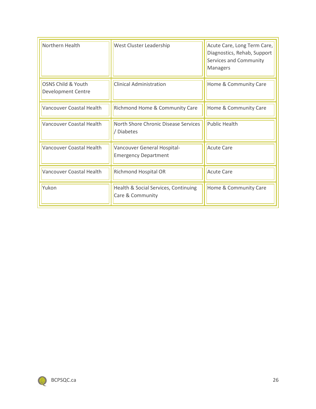| Northern Health                          | West Cluster Leadership                                    | Acute Care, Long Term Care,<br>Diagnostics, Rehab, Support<br>Services and Community<br>Managers |
|------------------------------------------|------------------------------------------------------------|--------------------------------------------------------------------------------------------------|
| OSNS Child & Youth<br>Development Centre | <b>Clinical Administration</b>                             | Home & Community Care                                                                            |
| Vancouver Coastal Health                 | Richmond Home & Community Care                             | Home & Community Care                                                                            |
| Vancouver Coastal Health                 | North Shore Chronic Disease Services<br><b>Diabetes</b>    | <b>Public Health</b>                                                                             |
| Vancouver Coastal Health                 | Vancouver General Hospital-<br><b>Emergency Department</b> | <b>Acute Care</b>                                                                                |
| Vancouver Coastal Health                 | <b>Richmond Hospital OR</b>                                | <b>Acute Care</b>                                                                                |
| Yukon                                    | Health & Social Services, Continuing<br>Care & Community   | Home & Community Care                                                                            |

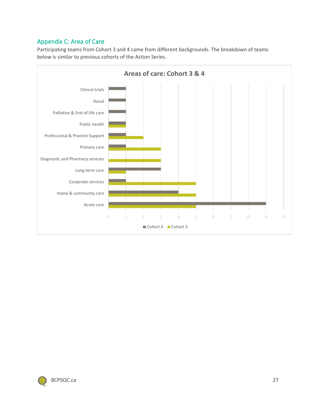## <span id="page-26-0"></span>Appendix C: Area of Care

Participating teams from Cohort 3 and 4 came from different backgrounds. The breakdown of teams below is similar to previous cohorts of the Action Series.



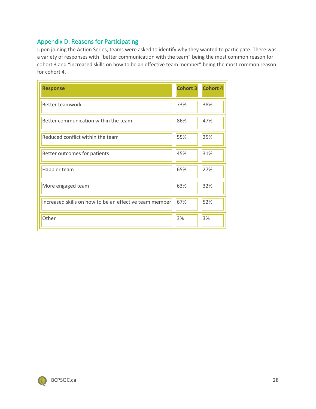### <span id="page-27-0"></span>Appendix D: Reasons for Participating

Upon joining the Action Series, teams were asked to identify why they wanted to participate. There was a variety of responses with "better communication with the team" being the most common reason for cohort 3 and "increased skills on how to be an effective team member" being the most common reason for cohort 4.

| <b>Response</b>                                        | <b>Cohort 3</b> | <b>Cohort 4</b> |
|--------------------------------------------------------|-----------------|-----------------|
| Better teamwork                                        | 73%             | 38%             |
| Better communication within the team                   | 86%             | 47%             |
| Reduced conflict within the team                       | 55%             | 25%             |
| Better outcomes for patients                           | 45%             | 31%             |
| Happier team                                           | 65%             | 27%             |
| More engaged team                                      | 63%             | 32%             |
| Increased skills on how to be an effective team member | 67%             | 52%             |
| Other                                                  | 3%              | 3%              |